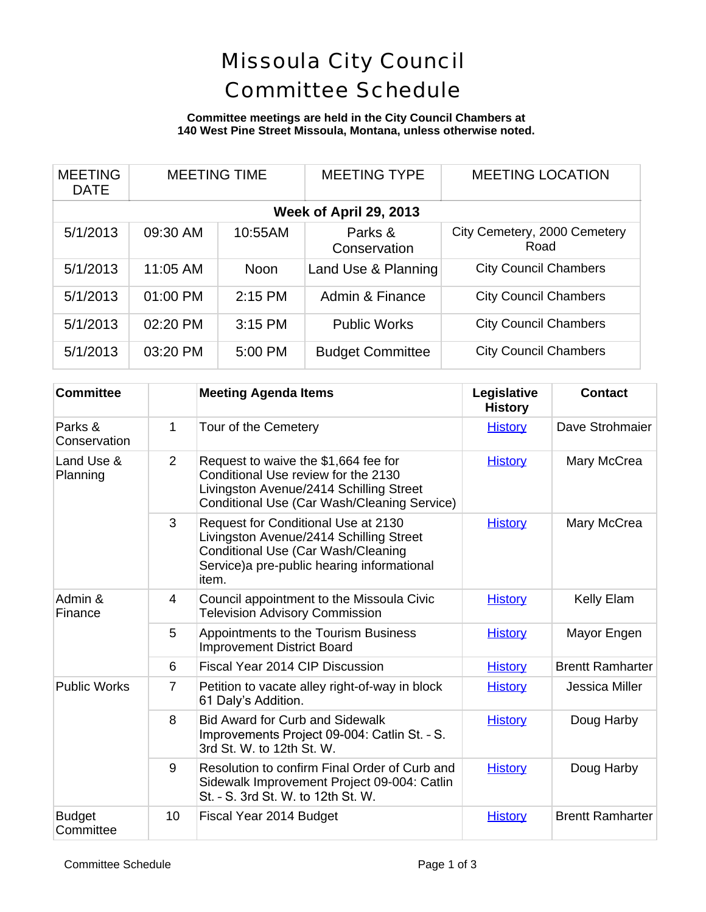# Missoula City Council Committee Schedule

### **Committee meetings are held in the City Council Chambers at 140 West Pine Street Missoula, Montana, unless otherwise noted.**

| <b>MEETING</b><br><b>DATE</b> | <b>MEETING TIME</b> |             | <b>MEETING TYPE</b>     | <b>MEETING LOCATION</b>              |  |  |  |
|-------------------------------|---------------------|-------------|-------------------------|--------------------------------------|--|--|--|
| Week of April 29, 2013        |                     |             |                         |                                      |  |  |  |
| 5/1/2013                      | 09:30 AM            | 10:55AM     | Parks &<br>Conservation | City Cemetery, 2000 Cemetery<br>Road |  |  |  |
| 5/1/2013                      | 11:05 AM            | <b>Noon</b> | Land Use & Planning     | <b>City Council Chambers</b>         |  |  |  |
| 5/1/2013                      | 01:00 PM            | $2:15$ PM   | Admin & Finance         | <b>City Council Chambers</b>         |  |  |  |
| 5/1/2013                      | 02:20 PM            | 3:15 PM     | <b>Public Works</b>     | <b>City Council Chambers</b>         |  |  |  |
| 5/1/2013                      | 03:20 PM            | 5:00 PM     | <b>Budget Committee</b> | <b>City Council Chambers</b>         |  |  |  |

| <b>Committee</b>           |                | <b>Meeting Agenda Items</b>                                                                                                                                                  | Legislative<br><b>History</b> | <b>Contact</b>          |
|----------------------------|----------------|------------------------------------------------------------------------------------------------------------------------------------------------------------------------------|-------------------------------|-------------------------|
| Parks &<br>Conservation    | 1              | Tour of the Cemetery                                                                                                                                                         | <b>History</b>                | Dave Strohmaier         |
| Land Use &<br>Planning     | 2              | Request to waive the \$1,664 fee for<br>Conditional Use review for the 2130<br>Livingston Avenue/2414 Schilling Street<br>Conditional Use (Car Wash/Cleaning Service)        | <b>History</b>                | Mary McCrea             |
|                            | 3              | Request for Conditional Use at 2130<br>Livingston Avenue/2414 Schilling Street<br>Conditional Use (Car Wash/Cleaning<br>Service) a pre-public hearing informational<br>item. | <b>History</b>                | Mary McCrea             |
| Admin &<br>Finance         | 4              | Council appointment to the Missoula Civic<br><b>Television Advisory Commission</b>                                                                                           | <b>History</b>                | Kelly Elam              |
|                            | 5              | Appointments to the Tourism Business<br><b>Improvement District Board</b>                                                                                                    | <b>History</b>                | Mayor Engen             |
|                            | 6              | Fiscal Year 2014 CIP Discussion                                                                                                                                              | <b>History</b>                | <b>Brentt Ramharter</b> |
| <b>Public Works</b>        | $\overline{7}$ | Petition to vacate alley right-of-way in block<br>61 Daly's Addition.                                                                                                        | <b>History</b>                | <b>Jessica Miller</b>   |
|                            | 8              | <b>Bid Award for Curb and Sidewalk</b><br>Improvements Project 09-004: Catlin St. - S.<br>3rd St. W. to 12th St. W.                                                          | <b>History</b>                | Doug Harby              |
|                            | 9              | Resolution to confirm Final Order of Curb and<br>Sidewalk Improvement Project 09-004: Catlin<br>St. - S. 3rd St. W. to 12th St. W.                                           | <b>History</b>                | Doug Harby              |
| <b>Budget</b><br>Committee | 10             | Fiscal Year 2014 Budget                                                                                                                                                      | <b>History</b>                | <b>Brentt Ramharter</b> |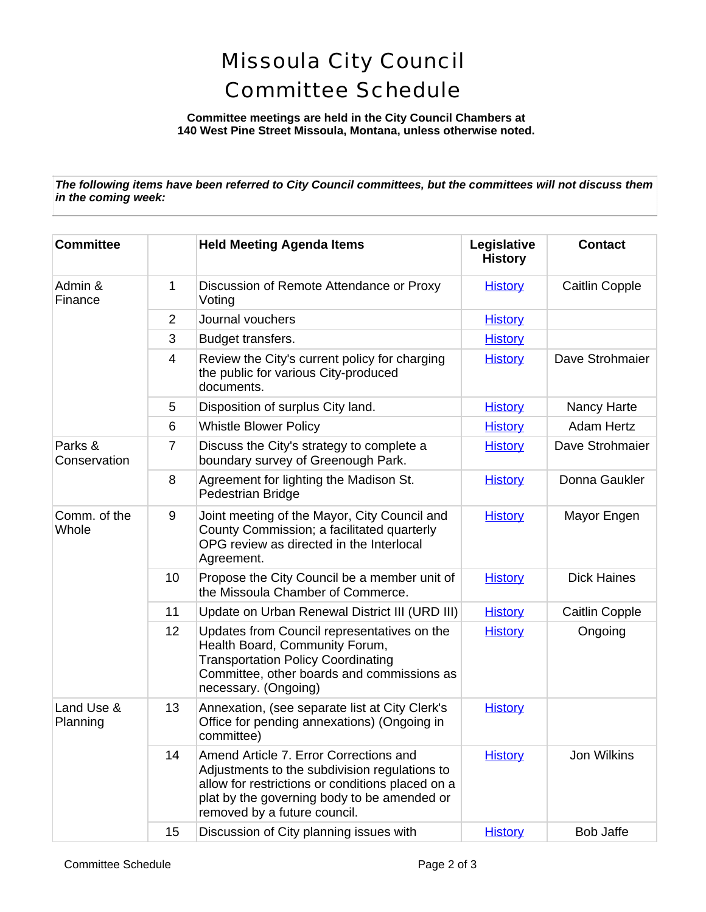## Missoula City Council Committee Schedule

**Committee meetings are held in the City Council Chambers at 140 West Pine Street Missoula, Montana, unless otherwise noted.**

*The following items have been referred to City Council committees, but the committees will not discuss them in the coming week:*

| <b>Committee</b>        |                | <b>Held Meeting Agenda Items</b>                                                                                                                                                                                           | Legislative<br><b>History</b> | <b>Contact</b>        |
|-------------------------|----------------|----------------------------------------------------------------------------------------------------------------------------------------------------------------------------------------------------------------------------|-------------------------------|-----------------------|
| Admin &<br>Finance      | 1              | Discussion of Remote Attendance or Proxy<br>Voting                                                                                                                                                                         | <b>History</b>                | <b>Caitlin Copple</b> |
|                         | 2              | Journal vouchers                                                                                                                                                                                                           | <b>History</b>                |                       |
|                         | 3              | Budget transfers.                                                                                                                                                                                                          | <b>History</b>                |                       |
|                         | 4              | Review the City's current policy for charging<br>the public for various City-produced<br>documents.                                                                                                                        | <b>History</b>                | Dave Strohmaier       |
|                         | 5              | Disposition of surplus City land.                                                                                                                                                                                          | <b>History</b>                | Nancy Harte           |
|                         | 6              | <b>Whistle Blower Policy</b>                                                                                                                                                                                               | <b>History</b>                | <b>Adam Hertz</b>     |
| Parks &<br>Conservation | $\overline{7}$ | Discuss the City's strategy to complete a<br>boundary survey of Greenough Park.                                                                                                                                            | <b>History</b>                | Dave Strohmaier       |
|                         | 8              | Agreement for lighting the Madison St.<br>Pedestrian Bridge                                                                                                                                                                | <b>History</b>                | Donna Gaukler         |
| Comm. of the<br>Whole   | 9              | Joint meeting of the Mayor, City Council and<br>County Commission; a facilitated quarterly<br>OPG review as directed in the Interlocal<br>Agreement.                                                                       | <b>History</b>                | Mayor Engen           |
|                         | 10             | Propose the City Council be a member unit of<br>the Missoula Chamber of Commerce.                                                                                                                                          | <b>History</b>                | <b>Dick Haines</b>    |
|                         | 11             | Update on Urban Renewal District III (URD III)                                                                                                                                                                             | <b>History</b>                | <b>Caitlin Copple</b> |
|                         | 12             | Updates from Council representatives on the<br>Health Board, Community Forum,<br><b>Transportation Policy Coordinating</b><br>Committee, other boards and commissions as<br>necessary. (Ongoing)                           | <b>History</b>                | Ongoing               |
| Land Use &<br>Planning  | 13             | Annexation, (see separate list at City Clerk's<br>Office for pending annexations) (Ongoing in<br>committee)                                                                                                                | <b>History</b>                |                       |
|                         | 14             | Amend Article 7. Error Corrections and<br>Adjustments to the subdivision regulations to<br>allow for restrictions or conditions placed on a<br>plat by the governing body to be amended or<br>removed by a future council. | <b>History</b>                | Jon Wilkins           |
|                         | 15             | Discussion of City planning issues with                                                                                                                                                                                    | <b>History</b>                | <b>Bob Jaffe</b>      |